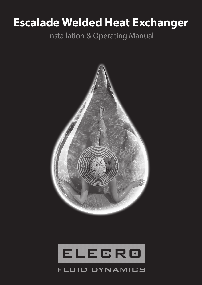# **Escalade Welded Heat Exchanger**

Installation & Operating Manual



# **ELECRO FLUID DYNAMICS**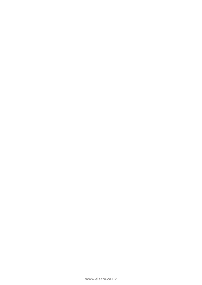**www.elecro.co.uk**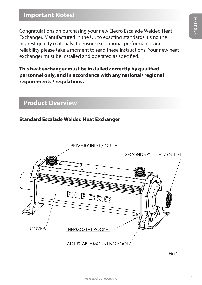## **Important Notes!**

Congratulations on purchasing your new Elecro Escalade Welded Heat Exchanger. Manufactured in the UK to exacting standards, using the highest quality materials. To ensure exceptional performance and reliability please take a moment to read these instructions. Your new heat exchanger must be installed and operated as specified.

**This heat exchanger must be installed correctly by qualified personnel only, and in accordance with any national/ regional requirements / regulations.**

# **Product Overview**

#### **Standard Escalade Welded Heat Exchanger**

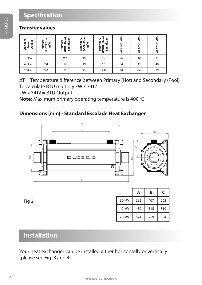## **Specification**

#### **Transfer values**

| <b>Standard</b><br>Output<br>Power | $(HOT)$ Flow<br>$(m3/h)$<br>Primary | Head<br>(kpa)<br>Primary<br>(HOT)<br>Loss | <b>JOL) Flow</b><br>(m <sup>3</sup> /h)<br>Secondary<br>(POOL | (POOL) Head<br>Secondary<br>Loss (kpa) | AT 50°C (kW) | (kW)<br>60°C<br>ā | AT 70°C (kW) |
|------------------------------------|-------------------------------------|-------------------------------------------|---------------------------------------------------------------|----------------------------------------|--------------|-------------------|--------------|
| 30-kW                              | 1.1                                 | 9.7                                       | 15                                                            | 11.7                                   | 26           | 30                | 34           |
| 40-kW                              | 2.4                                 | 23                                        | 19                                                            | 16.1                                   | 34           | 37                | 40           |
| 75-kW                              | 3.0                                 | 52                                        | 21                                                            | 17.8                                   | 54           | 64                | 75           |

ΔT = Temperature difference between Primary (Hot) and Secondary (Pool) To calculate BTU multiply kW x 3412

 $kW \times 3412 = BTU$  Output

**Note:** Maximum primary operating temperature is 400ºC

#### **Dimensions (mm) - Standard Escalade Heat Exchanger**



|          | Α   | Β   | C   |
|----------|-----|-----|-----|
| 30-kW    | 382 | 467 | 262 |
| $40$ -kW | 430 | 515 | 310 |
| 75-kW    | 674 | 759 | 554 |

# **Installation**

Your heat exchanger can be installed either horizontally or vertically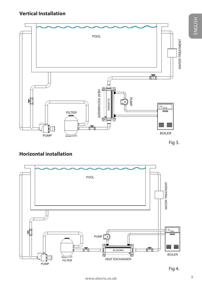#### **Vertical Installation**



## **Horizontal installation**



ENGLISH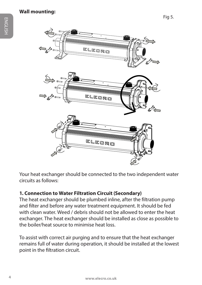#### **Wall mounting:**



Your heat exchanger should be connected to the two independent water circuits as follows:

#### **1. Connection to Water Filtration Circuit (Secondary)**

The heat exchanger should be plumbed inline, after the filtration pump and filter and before any water treatment equipment. It should be fed with clean water. Weed / debris should not be allowed to enter the heat exchanger. The heat exchanger should be installed as close as possible to the boiler/heat source to minimise heat loss.

To assist with correct air purging and to ensure that the heat exchanger remains full of water during operation, it should be installed at the lowest point in the filtration circuit.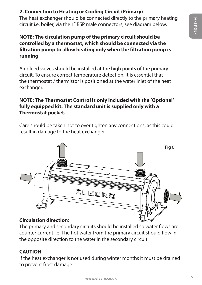#### **2. Connection to Heating or Cooling Circuit (Primary)**

The heat exchanger should be connected directly to the primary heating circuit i.e. boiler, via the 1" BSP male connectors, see diagram below.

#### **NOTE: The circulation pump of the primary circuit should be controlled by a thermostat, which should be connected via the filtration pump to allow heating only when the filtration pump is running.**

Air bleed valves should be installed at the high points of the primary circuit. To ensure correct temperature detection, it is essential that the thermostat / thermistor is positioned at the water inlet of the heat exchanger.

#### **NOTE: The Thermostat Control is only included with the 'Optional' fully equipped kit. The standard unit is supplied only with a Thermostat pocket.**

Care should be taken not to over tighten any connections, as this could result in damage to the heat exchanger.



#### **Circulation direction:**

The primary and secondary circuits should be installed so water flows are counter current i.e. The hot water from the primary circuit should flow in the opposite direction to the water in the secondary circuit.

#### **CAUTION**

If the heat exchanger is not used during winter months it must be drained to prevent frost damage.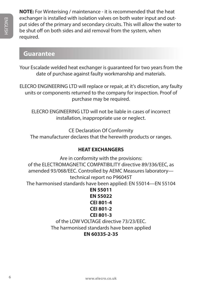**NOTE:** For Winterising / maintenance - it is recommended that the heat exchanger is installed with isolation valves on both water input and output sides of the primary and secondary circuits. This will allow the water to be shut off on both sides and aid removal from the system, when required.

### **Guarantee**

Your Escalade welded heat exchanger is guaranteed for two years from the date of purchase against faulty workmanship and materials.

ELECRO ENGINEERING LTD will replace or repair, at it's discretion, any faulty units or components returned to the company for inspection. Proof of purchase may be required.

ELECRO ENGINEERING LTD will not be liable in cases of incorrect installation, inappropriate use or neglect.

CE Declaration Of Conformity

The manufacturer declares that the herewith products or ranges.

#### **HEAT EXCHANGERS**

Are in conformity with the provisions: of the ELECTROMAGNETIC COMPATIBILITY directive 89/336/EEC, as amended 93/068/EEC. Controlled by AEMC Measures laboratory technical report no P96045T The harmonised standards have been applied: EN 55014—EN 55104

**EN 55011 EN 55022 CEI 801-4 CEI 801-2 CEI 801-3**

of the LOW VOLTAGE directive 73/23/EEC. The harmonised standards have been applied **EN 60335-2-35**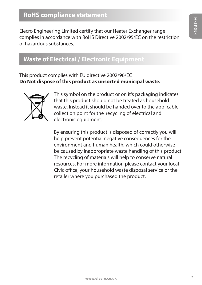# **RoHS compliance statement**

Elecro Engineering Limited certify that our Heater Exchanger range complies in accordance with RoHS Directive 2002/95/EC on the restriction of hazardous substances.

# **Waste of Electrical / Electronic Equipment**

#### This product complies with EU directive 2002/96/EC **Do Not dispose of this product as unsorted municipal waste.**



 This symbol on the product or on it's packaging indicates that this product should not be treated as household waste. Instead it should be handed over to the applicable collection point for the recycling of electrical and electronic equipment.

 By ensuring this product is disposed of correctly you will help prevent potential negative consequences for the environment and human health, which could otherwise be caused by inappropriate waste handling of this product. The recycling of materials will help to conserve natural resources. For more information please contact your local Civic office, your household waste disposal service or the retailer where you purchased the product.